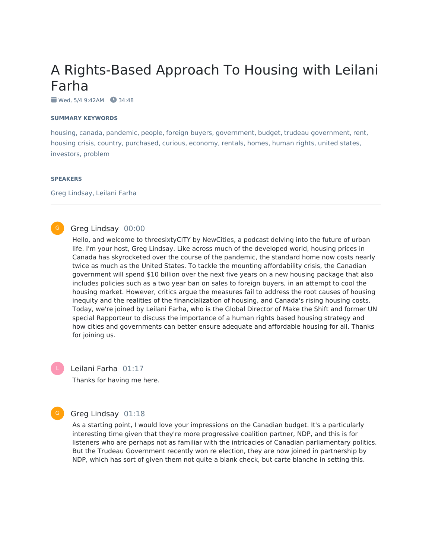# A Rights-Based Approach To Housing with Leilani Farha

 $\bullet$  Wed, 5/4 9:42AM  $\bullet$  34:48

#### **SUMMARY KEYWORDS**

housing, canada, pandemic, people, foreign buyers, government, budget, trudeau government, rent, housing crisis, country, purchased, curious, economy, rentals, homes, human rights, united states, investors, problem

#### **SPEAKERS**

Greg Lindsay, Leilani Farha

### Greg Lindsay 00:00

Hello, and welcome to threesixtyCITY by NewCities, a podcast delving into the future of urban life. I'm your host, Greg Lindsay. Like across much of the developed world, housing prices in Canada has skyrocketed over the course of the pandemic, the standard home now costs nearly twice as much as the United States. To tackle the mounting affordability crisis, the Canadian government will spend \$10 billion over the next five years on a new housing package that also includes policies such as a two year ban on sales to foreign buyers, in an attempt to cool the housing market. However, critics argue the measures fail to address the root causes of housing inequity and the realities of the financialization of housing, and Canada's rising housing costs. Today, we're joined by Leilani Farha, who is the Global Director of Make the Shift and former UN special Rapporteur to discuss the importance of a human rights based housing strategy and how cities and governments can better ensure adequate and affordable housing for all. Thanks for joining us.

Leilani Farha 01:17 Thanks for having me here.

### Greg Lindsay 01:18

G

As a starting point, I would love your impressions on the Canadian budget. It's a particularly interesting time given that they're more progressive coalition partner, NDP, and this is for listeners who are perhaps not as familiar with the intricacies of Canadian parliamentary politics. But the Trudeau Government recently won re election, they are now joined in partnership by NDP, which has sort of given them not quite a blank check, but carte blanche in setting this.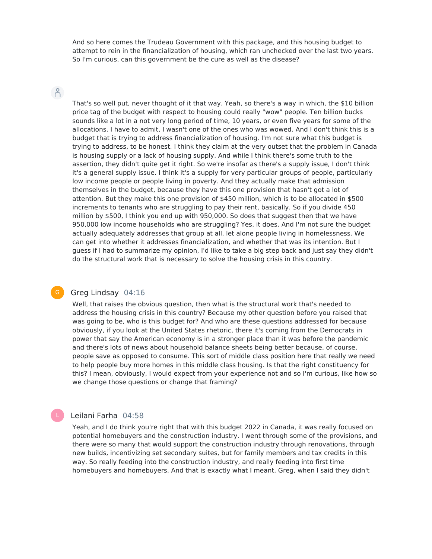And so here comes the Trudeau Government with this package, and this housing budget to attempt to rein in the financialization of housing, which ran unchecked over the last two years. So I'm curious, can this government be the cure as well as the disease?

# $n^{\circ}$

That's so well put, never thought of it that way. Yeah, so there's a way in which, the \$10 billion price tag of the budget with respect to housing could really "wow" people. Ten billion bucks sounds like a lot in a not very long period of time, 10 years, or even five years for some of the allocations. I have to admit, I wasn't one of the ones who was wowed. And I don't think this is a budget that is trying to address financialization of housing. I'm not sure what this budget is trying to address, to be honest. I think they claim at the very outset that the problem in Canada is housing supply or a lack of housing supply. And while I think there's some truth to the assertion, they didn't quite get it right. So we're insofar as there's a supply issue, I don't think it's a general supply issue. I think it's a supply for very particular groups of people, particularly low income people or people living in poverty. And they actually make that admission themselves in the budget, because they have this one provision that hasn't got a lot of attention. But they make this one provision of \$450 million, which is to be allocated in \$500 increments to tenants who are struggling to pay their rent, basically. So if you divide 450 million by \$500, I think you end up with 950,000. So does that suggest then that we have 950,000 low income households who are struggling? Yes, it does. And I'm not sure the budget actually adequately addresses that group at all, let alone people living in homelessness. We can get into whether it addresses financialization, and whether that was its intention. But I guess if I had to summarize my opinion, I'd like to take a big step back and just say they didn't do the structural work that is necessary to solve the housing crisis in this country.

# Greg Lindsay 04:16

Well, that raises the obvious question, then what is the structural work that's needed to address the housing crisis in this country? Because my other question before you raised that was going to be, who is this budget for? And who are these questions addressed for because obviously, if you look at the United States rhetoric, there it's coming from the Democrats in power that say the American economy is in a stronger place than it was before the pandemic and there's lots of news about household balance sheets being better because, of course, people save as opposed to consume. This sort of middle class position here that really we need to help people buy more homes in this middle class housing. Is that the right constituency for this? I mean, obviously, I would expect from your experience not and so I'm curious, like how so we change those questions or change that framing?

### Leilani Farha 04:58

Yeah, and I do think you're right that with this budget 2022 in Canada, it was really focused on potential homebuyers and the construction industry. I went through some of the provisions, and there were so many that would support the construction industry through renovations, through new builds, incentivizing set secondary suites, but for family members and tax credits in this way. So really feeding into the construction industry, and really feeding into first time homebuyers and homebuyers. And that is exactly what I meant, Greg, when I said they didn't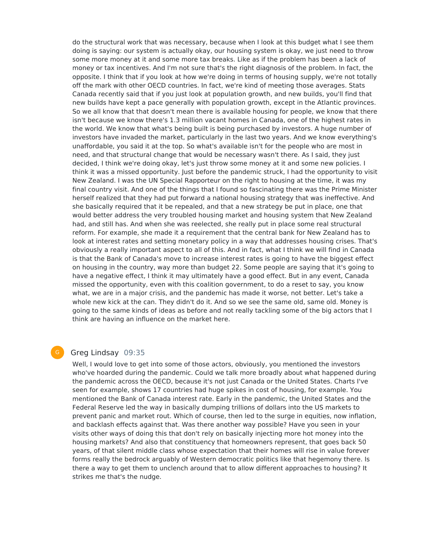do the structural work that was necessary, because when I look at this budget what I see them doing is saying: our system is actually okay, our housing system is okay, we just need to throw some more money at it and some more tax breaks. Like as if the problem has been a lack of money or tax incentives. And I'm not sure that's the right diagnosis of the problem. In fact, the opposite. I think that if you look at how we're doing in terms of housing supply, we're not totally off the mark with other OECD countries. In fact, we're kind of meeting those averages. Stats Canada recently said that if you just look at population growth, and new builds, you'll find that new builds have kept a pace generally with population growth, except in the Atlantic provinces. So we all know that that doesn't mean there is available housing for people, we know that there isn't because we know there's 1.3 million vacant homes in Canada, one of the highest rates in the world. We know that what's being built is being purchased by investors. A huge number of investors have invaded the market, particularly in the last two years. And we know everything's unaffordable, you said it at the top. So what's available isn't for the people who are most in need, and that structural change that would be necessary wasn't there. As I said, they just decided, I think we're doing okay, let's just throw some money at it and some new policies. I think it was a missed opportunity. Just before the pandemic struck, I had the opportunity to visit New Zealand. I was the UN Special Rapporteur on the right to housing at the time, it was my final country visit. And one of the things that I found so fascinating there was the Prime Minister herself realized that they had put forward a national housing strategy that was ineffective. And she basically required that it be repealed, and that a new strategy be put in place, one that would better address the very troubled housing market and housing system that New Zealand had, and still has. And when she was reelected, she really put in place some real structural reform. For example, she made it a requirement that the central bank for New Zealand has to look at interest rates and setting monetary policy in a way that addresses housing crises. That's obviously a really important aspect to all of this. And in fact, what I think we will find in Canada is that the Bank of Canada's move to increase interest rates is going to have the biggest effect on housing in the country, way more than budget 22. Some people are saying that it's going to have a negative effect, I think it may ultimately have a good effect. But in any event, Canada missed the opportunity, even with this coalition government, to do a reset to say, you know what, we are in a major crisis, and the pandemic has made it worse, not better. Let's take a whole new kick at the can. They didn't do it. And so we see the same old, same old. Money is going to the same kinds of ideas as before and not really tackling some of the big actors that I think are having an influence on the market here.

### Greg Lindsay 09:35

G

Well, I would love to get into some of those actors, obviously, you mentioned the investors who've hoarded during the pandemic. Could we talk more broadly about what happened during the pandemic across the OECD, because it's not just Canada or the United States. Charts I've seen for example, shows 17 countries had huge spikes in cost of housing, for example. You mentioned the Bank of Canada interest rate. Early in the pandemic, the United States and the Federal Reserve led the way in basically dumping trillions of dollars into the US markets to prevent panic and market rout. Which of course, then led to the surge in equities, now inflation, and backlash effects against that. Was there another way possible? Have you seen in your visits other ways of doing this that don't rely on basically injecting more hot money into the housing markets? And also that constituency that homeowners represent, that goes back 50 years, of that silent middle class whose expectation that their homes will rise in value forever forms really the bedrock arguably of Western democratic politics like that hegemony there. Is there a way to get them to unclench around that to allow different approaches to housing? It strikes me that's the nudge.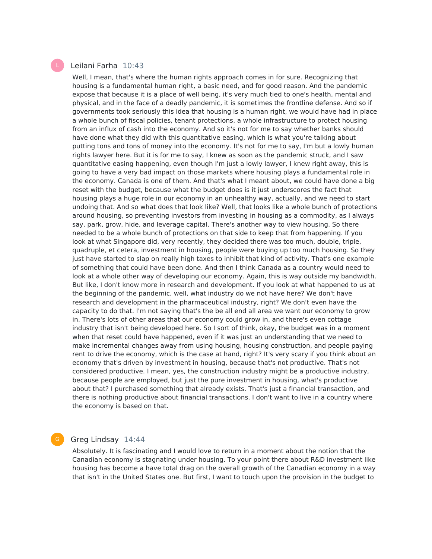# Leilani Farha 10:43

Well, I mean, that's where the human rights approach comes in for sure. Recognizing that housing is a fundamental human right, a basic need, and for good reason. And the pandemic expose that because it is a place of well being, it's very much tied to one's health, mental and physical, and in the face of a deadly pandemic, it is sometimes the frontline defense. And so if governments took seriously this idea that housing is a human right, we would have had in place a whole bunch of fiscal policies, tenant protections, a whole infrastructure to protect housing from an influx of cash into the economy. And so it's not for me to say whether banks should have done what they did with this quantitative easing, which is what you're talking about putting tons and tons of money into the economy. It's not for me to say, I'm but a lowly human rights lawyer here. But it is for me to say, I knew as soon as the pandemic struck, and I saw quantitative easing happening, even though I'm just a lowly lawyer, I knew right away, this is going to have a very bad impact on those markets where housing plays a fundamental role in the economy. Canada is one of them. And that's what I meant about, we could have done a big reset with the budget, because what the budget does is it just underscores the fact that housing plays a huge role in our economy in an unhealthy way, actually, and we need to start undoing that. And so what does that look like? Well, that looks like a whole bunch of protections around housing, so preventing investors from investing in housing as a commodity, as I always say, park, grow, hide, and leverage capital. There's another way to view housing. So there needed to be a whole bunch of protections on that side to keep that from happening. If you look at what Singapore did, very recently, they decided there was too much, double, triple, quadruple, et cetera, investment in housing, people were buying up too much housing. So they just have started to slap on really high taxes to inhibit that kind of activity. That's one example of something that could have been done. And then I think Canada as a country would need to look at a whole other way of developing our economy. Again, this is way outside my bandwidth. But like, I don't know more in research and development. If you look at what happened to us at the beginning of the pandemic, well, what industry do we not have here? We don't have research and development in the pharmaceutical industry, right? We don't even have the capacity to do that. I'm not saying that's the be all end all area we want our economy to grow in. There's lots of other areas that our economy could grow in, and there's even cottage industry that isn't being developed here. So I sort of think, okay, the budget was in a moment when that reset could have happened, even if it was just an understanding that we need to make incremental changes away from using housing, housing construction, and people paying rent to drive the economy, which is the case at hand, right? It's very scary if you think about an economy that's driven by investment in housing, because that's not productive. That's not considered productive. I mean, yes, the construction industry might be a productive industry, because people are employed, but just the pure investment in housing, what's productive about that? I purchased something that already exists. That's just a financial transaction, and there is nothing productive about financial transactions. I don't want to live in a country where the economy is based on that.

# Greg Lindsay 14:44

G

Absolutely. It is fascinating and I would love to return in a moment about the notion that the Canadian economy is stagnating under housing. To your point there about R&D investment like housing has become a have total drag on the overall growth of the Canadian economy in a way that isn't in the United States one. But first, I want to touch upon the provision in the budget to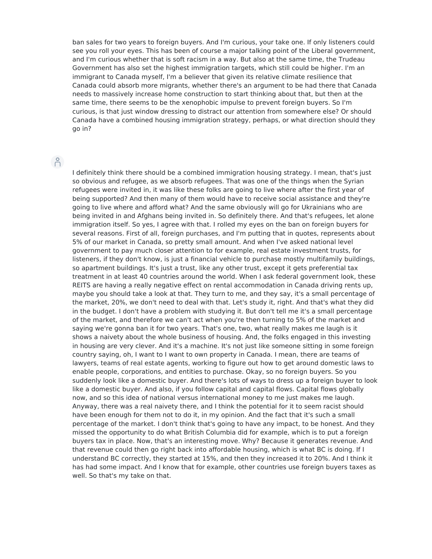ban sales for two years to foreign buyers. And I'm curious, your take one. If only listeners could see you roll your eyes. This has been of course a major talking point of the Liberal government, and I'm curious whether that is soft racism in a way. But also at the same time, the Trudeau Government has also set the highest immigration targets, which still could be higher. I'm an immigrant to Canada myself, I'm a believer that given its relative climate resilience that Canada could absorb more migrants, whether there's an argument to be had there that Canada needs to massively increase home construction to start thinking about that, but then at the same time, there seems to be the xenophobic impulse to prevent foreign buyers. So I'm curious, is that just window dressing to distract our attention from somewhere else? Or should Canada have a combined housing immigration strategy, perhaps, or what direction should they go in?

# $\beta$

I definitely think there should be a combined immigration housing strategy. I mean, that's just so obvious and refugee, as we absorb refugees. That was one of the things when the Syrian refugees were invited in, it was like these folks are going to live where after the first year of being supported? And then many of them would have to receive social assistance and they're going to live where and afford what? And the same obviously will go for Ukrainians who are being invited in and Afghans being invited in. So definitely there. And that's refugees, let alone immigration itself. So yes, I agree with that. I rolled my eyes on the ban on foreign buyers for several reasons. First of all, foreign purchases, and I'm putting that in quotes, represents about 5% of our market in Canada, so pretty small amount. And when I've asked national level government to pay much closer attention to for example, real estate investment trusts, for listeners, if they don't know, is just a financial vehicle to purchase mostly multifamily buildings, so apartment buildings. It's just a trust, like any other trust, except it gets preferential tax treatment in at least 40 countries around the world. When I ask federal government look, these REITS are having a really negative effect on rental accommodation in Canada driving rents up, maybe you should take a look at that. They turn to me, and they say, it's a small percentage of the market, 20%, we don't need to deal with that. Let's study it, right. And that's what they did in the budget. I don't have a problem with studying it. But don't tell me it's a small percentage of the market, and therefore we can't act when you're then turning to 5% of the market and saying we're gonna ban it for two years. That's one, two, what really makes me laugh is it shows a naivety about the whole business of housing. And, the folks engaged in this investing in housing are very clever. And it's a machine. It's not just like someone sitting in some foreign country saying, oh, I want to I want to own property in Canada. I mean, there are teams of lawyers, teams of real estate agents, working to figure out how to get around domestic laws to enable people, corporations, and entities to purchase. Okay, so no foreign buyers. So you suddenly look like a domestic buyer. And there's lots of ways to dress up a foreign buyer to look like a domestic buyer. And also, if you follow capital and capital flows. Capital flows globally now, and so this idea of national versus international money to me just makes me laugh. Anyway, there was a real naivety there, and I think the potential for it to seem racist should have been enough for them not to do it, in my opinion. And the fact that it's such a small percentage of the market. I don't think that's going to have any impact, to be honest. And they missed the opportunity to do what British Columbia did for example, which is to put a foreign buyers tax in place. Now, that's an interesting move. Why? Because it generates revenue. And that revenue could then go right back into affordable housing, which is what BC is doing. If I understand BC correctly, they started at 15%, and then they increased it to 20%. And I think it has had some impact. And I know that for example, other countries use foreign buyers taxes as well. So that's my take on that.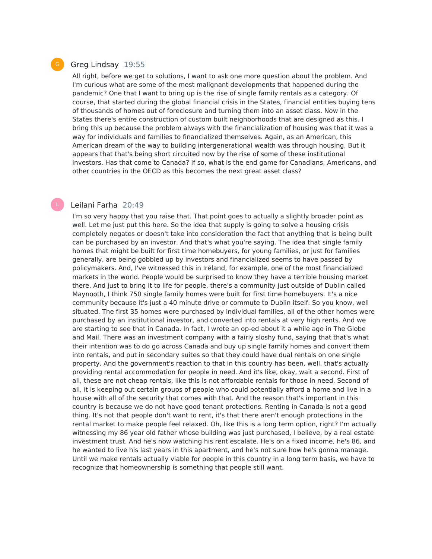

### Greg Lindsay 19:55

All right, before we get to solutions, I want to ask one more question about the problem. And I'm curious what are some of the most malignant developments that happened during the pandemic? One that I want to bring up is the rise of single family rentals as a category. Of course, that started during the global financial crisis in the States, financial entities buying tens of thousands of homes out of foreclosure and turning them into an asset class. Now in the States there's entire construction of custom built neighborhoods that are designed as this. I bring this up because the problem always with the financialization of housing was that it was a way for individuals and families to financialized themselves. Again, as an American, this American dream of the way to building intergenerational wealth was through housing. But it appears that that's being short circuited now by the rise of some of these institutional investors. Has that come to Canada? If so, what is the end game for Canadians, Americans, and other countries in the OECD as this becomes the next great asset class?

### Leilani Farha 20:49

I'm so very happy that you raise that. That point goes to actually a slightly broader point as well. Let me just put this here. So the idea that supply is going to solve a housing crisis completely negates or doesn't take into consideration the fact that anything that is being built can be purchased by an investor. And that's what you're saying. The idea that single family homes that might be built for first time homebuyers, for young families, or just for families generally, are being gobbled up by investors and financialized seems to have passed by policymakers. And, I've witnessed this in Ireland, for example, one of the most financialized markets in the world. People would be surprised to know they have a terrible housing market there. And just to bring it to life for people, there's a community just outside of Dublin called Maynooth, I think 750 single family homes were built for first time homebuyers. It's a nice community because it's just a 40 minute drive or commute to Dublin itself. So you know, well situated. The first 35 homes were purchased by individual families, all of the other homes were purchased by an institutional investor, and converted into rentals at very high rents. And we are starting to see that in Canada. In fact, I wrote an op-ed about it a while ago in The Globe and Mail. There was an investment company with a fairly sloshy fund, saying that that's what their intention was to do go across Canada and buy up single family homes and convert them into rentals, and put in secondary suites so that they could have dual rentals on one single property. And the government's reaction to that in this country has been, well, that's actually providing rental accommodation for people in need. And it's like, okay, wait a second. First of all, these are not cheap rentals, like this is not affordable rentals for those in need. Second of all, it is keeping out certain groups of people who could potentially afford a home and live in a house with all of the security that comes with that. And the reason that's important in this country is because we do not have good tenant protections. Renting in Canada is not a good thing. It's not that people don't want to rent, it's that there aren't enough protections in the rental market to make people feel relaxed. Oh, like this is a long term option, right? I'm actually witnessing my 86 year old father whose building was just purchased, I believe, by a real estate investment trust. And he's now watching his rent escalate. He's on a fixed income, he's 86, and he wanted to live his last years in this apartment, and he's not sure how he's gonna manage. Until we make rentals actually viable for people in this country in a long term basis, we have to recognize that homeownership is something that people still want.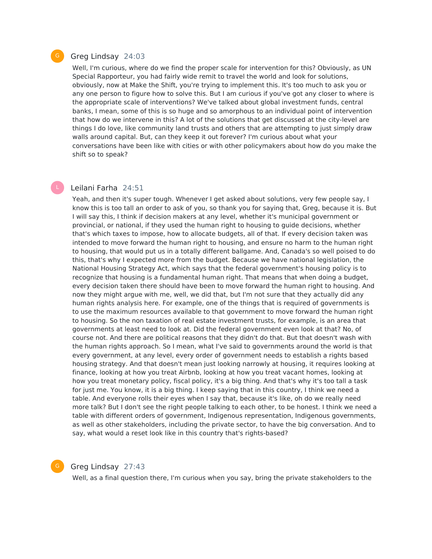### Greg Lindsay 24:03

Well, I'm curious, where do we find the proper scale for intervention for this? Obviously, as UN Special Rapporteur, you had fairly wide remit to travel the world and look for solutions, obviously, now at Make the Shift, you're trying to implement this. It's too much to ask you or any one person to figure how to solve this. But I am curious if you've got any closer to where is the appropriate scale of interventions? We've talked about global investment funds, central banks, I mean, some of this is so huge and so amorphous to an individual point of intervention that how do we intervene in this? A lot of the solutions that get discussed at the city-level are things I do love, like community land trusts and others that are attempting to just simply draw walls around capital. But, can they keep it out forever? I'm curious about what your conversations have been like with cities or with other policymakers about how do you make the shift so to speak?

## Leilani Farha 24:51

Yeah, and then it's super tough. Whenever I get asked about solutions, very few people say, I know this is too tall an order to ask of you, so thank you for saying that, Greg, because it is. But I will say this, I think if decision makers at any level, whether it's municipal government or provincial, or national, if they used the human right to housing to guide decisions, whether that's which taxes to impose, how to allocate budgets, all of that. If every decision taken was intended to move forward the human right to housing, and ensure no harm to the human right to housing, that would put us in a totally different ballgame. And, Canada's so well poised to do this, that's why I expected more from the budget. Because we have national legislation, the National Housing Strategy Act, which says that the federal government's housing policy is to recognize that housing is a fundamental human right. That means that when doing a budget, every decision taken there should have been to move forward the human right to housing. And now they might argue with me, well, we did that, but I'm not sure that they actually did any human rights analysis here. For example, one of the things that is required of governments is to use the maximum resources available to that government to move forward the human right to housing. So the non taxation of real estate investment trusts, for example, is an area that governments at least need to look at. Did the federal government even look at that? No, of course not. And there are political reasons that they didn't do that. But that doesn't wash with the human rights approach. So I mean, what I've said to governments around the world is that every government, at any level, every order of government needs to establish a rights based housing strategy. And that doesn't mean just looking narrowly at housing, it requires looking at finance, looking at how you treat Airbnb, looking at how you treat vacant homes, looking at how you treat monetary policy, fiscal policy, it's a big thing. And that's why it's too tall a task for just me. You know, it is a big thing. I keep saying that in this country, I think we need a table. And everyone rolls their eyes when I say that, because it's like, oh do we really need more talk? But I don't see the right people talking to each other, to be honest. I think we need a table with different orders of government, Indigenous representation, Indigenous governments, as well as other stakeholders, including the private sector, to have the big conversation. And to say, what would a reset look like in this country that's rights-based?



# Greg Lindsay 27:43

Well, as a final question there, I'm curious when you say, bring the private stakeholders to the

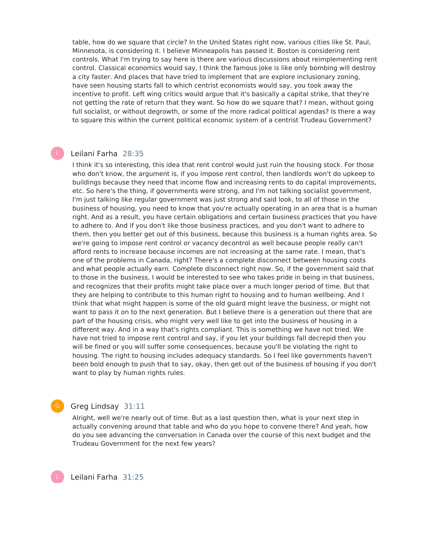table, how do we square that circle? In the United States right now, various cities like St. Paul, Minnesota, is considering it. I believe Minneapolis has passed it. Boston is considering rent controls. What I'm trying to say here is there are various discussions about reimplementing rent control. Classical economics would say, I think the famous joke is like only bombing will destroy a city faster. And places that have tried to implement that are explore inclusionary zoning, have seen housing starts fall to which centrist economists would say, you took away the incentive to profit. Left wing critics would argue that it's basically a capital strike, that they're not getting the rate of return that they want. So how do we square that? I mean, without going full socialist, or without degrowth, or some of the more radical political agendas? Is there a way to square this within the current political economic system of a centrist Trudeau Government?

### Leilani Farha 28:35

I think it's so interesting, this idea that rent control would just ruin the housing stock. For those who don't know, the argument is, if you impose rent control, then landlords won't do upkeep to buildings because they need that income flow and increasing rents to do capital improvements, etc. So here's the thing, if governments were strong, and I'm not talking socialist government, I'm just talking like regular government was just strong and said look, to all of those in the business of housing, you need to know that you're actually operating in an area that is a human right. And as a result, you have certain obligations and certain business practices that you have to adhere to. And if you don't like those business practices, and you don't want to adhere to them, then you better get out of this business, because this business is a human rights area. So we're going to impose rent control or vacancy decontrol as well because people really can't afford rents to increase because incomes are not increasing at the same rate. I mean, that's one of the problems in Canada, right? There's a complete disconnect between housing costs and what people actually earn. Complete disconnect right now. So, if the government said that to those in the business, I would be interested to see who takes pride in being in that business, and recognizes that their profits might take place over a much longer period of time. But that they are helping to contribute to this human right to housing and to human wellbeing. And I think that what might happen is some of the old guard might leave the business, or might not want to pass it on to the next generation. But I believe there is a generation out there that are part of the housing crisis, who might very well like to get into the business of housing in a different way. And in a way that's rights compliant. This is something we have not tried. We have not tried to impose rent control and say, if you let your buildings fall decrepid then you will be fined or you will suffer some consequences, because you'll be violating the right to housing. The right to housing includes adequacy standards. So I feel like governments haven't been bold enough to push that to say, okay, then get out of the business of housing if you don't want to play by human rights rules.

### Greg Lindsay 31:11

Alright, well we're nearly out of time. But as a last question then, what is your next step in actually convening around that table and who do you hope to convene there? And yeah, how do you see advancing the conversation in Canada over the course of this next budget and the Trudeau Government for the next few years?

Leilani Farha 31:25